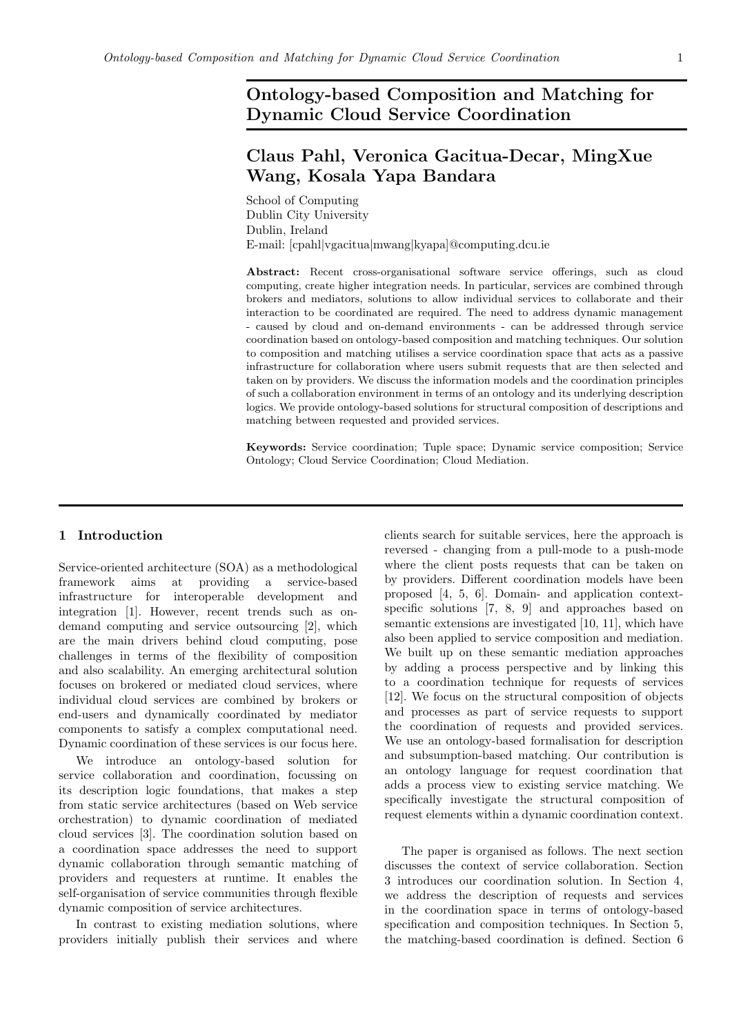# Ontology-based Composition and Matching for Dynamic Cloud Service Coordination

# Claus Pahl, Veronica Gacitua-Decar, MingXue Wang, Kosala Yapa Bandara

School of Computing Dublin City University Dublin, Ireland E-mail: [cpahl|vgacitua|mwang|kyapa]@computing.dcu.ie

Abstract: Recent cross-organisational software service offerings, such as cloud computing, create higher integration needs. In particular, services are combined through brokers and mediators, solutions to allow individual services to collaborate and their interaction to be coordinated are required. The need to address dynamic management - caused by cloud and on-demand environments - can be addressed through service coordination based on ontology-based composition and matching techniques. Our solution to composition and matching utilises a service coordination space that acts as a passive infrastructure for collaboration where users submit requests that are then selected and taken on by providers. We discuss the information models and the coordination principles of such a collaboration environment in terms of an ontology and its underlying description logics. We provide ontology-based solutions for structural composition of descriptions and matching between requested and provided services.

Keywords: Service coordination; Tuple space; Dynamic service composition; Service Ontology; Cloud Service Coordination; Cloud Mediation.

## 1 Introduction

Service-oriented architecture (SOA) as a methodological framework aims at providing a service-based infrastructure for interoperable development and integration [1]. However, recent trends such as ondemand computing and service outsourcing [2], which are the main drivers behind cloud computing, pose challenges in terms of the flexibility of composition and also scalability. An emerging architectural solution focuses on brokered or mediated cloud services, where individual cloud services are combined by brokers or end-users and dynamically coordinated by mediator components to satisfy a complex computational need. Dynamic coordination of these services is our focus here.

We introduce an ontology-based solution for service collaboration and coordination, focussing on its description logic foundations, that makes a step from static service architectures (based on Web service orchestration) to dynamic coordination of mediated cloud services [3]. The coordination solution based on a coordination space addresses the need to support dynamic collaboration through semantic matching of providers and requesters at runtime. It enables the self-organisation of service communities through flexible dynamic composition of service architectures.

In contrast to existing mediation solutions, where providers initially publish their services and where clients search for suitable services, here the approach is reversed - changing from a pull-mode to a push-mode where the client posts requests that can be taken on by providers. Different coordination models have been proposed [4, 5, 6]. Domain- and application contextspecific solutions [7, 8, 9] and approaches based on semantic extensions are investigated [10, 11], which have also been applied to service composition and mediation. We built up on these semantic mediation approaches by adding a process perspective and by linking this to a coordination technique for requests of services [12]. We focus on the structural composition of objects and processes as part of service requests to support the coordination of requests and provided services. We use an ontology-based formalisation for description and subsumption-based matching. Our contribution is an ontology language for request coordination that adds a process view to existing service matching. We specifically investigate the structural composition of request elements within a dynamic coordination context.

The paper is organised as follows. The next section discusses the context of service collaboration. Section 3 introduces our coordination solution. In Section 4, we address the description of requests and services in the coordination space in terms of ontology-based specification and composition techniques. In Section 5, the matching-based coordination is defined. Section 6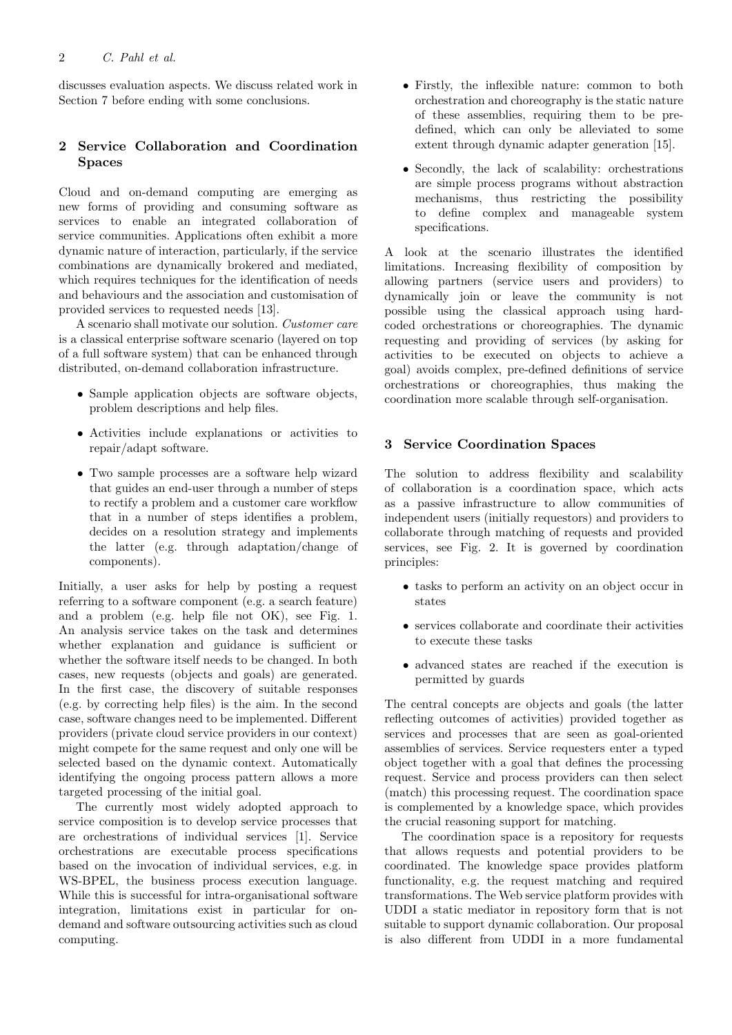discusses evaluation aspects. We discuss related work in Section 7 before ending with some conclusions.

# 2 Service Collaboration and Coordination Spaces

Cloud and on-demand computing are emerging as new forms of providing and consuming software as services to enable an integrated collaboration of service communities. Applications often exhibit a more dynamic nature of interaction, particularly, if the service combinations are dynamically brokered and mediated, which requires techniques for the identification of needs and behaviours and the association and customisation of provided services to requested needs [13].

A scenario shall motivate our solution. Customer care is a classical enterprise software scenario (layered on top of a full software system) that can be enhanced through distributed, on-demand collaboration infrastructure.

- Sample application objects are software objects, problem descriptions and help files.
- Activities include explanations or activities to repair/adapt software.
- Two sample processes are a software help wizard that guides an end-user through a number of steps to rectify a problem and a customer care workflow that in a number of steps identifies a problem, decides on a resolution strategy and implements the latter (e.g. through adaptation/change of components).

Initially, a user asks for help by posting a request referring to a software component (e.g. a search feature) and a problem (e.g. help file not OK), see Fig. 1. An analysis service takes on the task and determines whether explanation and guidance is sufficient or whether the software itself needs to be changed. In both cases, new requests (objects and goals) are generated. In the first case, the discovery of suitable responses (e.g. by correcting help files) is the aim. In the second case, software changes need to be implemented. Different providers (private cloud service providers in our context) might compete for the same request and only one will be selected based on the dynamic context. Automatically identifying the ongoing process pattern allows a more targeted processing of the initial goal.

The currently most widely adopted approach to service composition is to develop service processes that are orchestrations of individual services [1]. Service orchestrations are executable process specifications based on the invocation of individual services, e.g. in WS-BPEL, the business process execution language. While this is successful for intra-organisational software integration, limitations exist in particular for ondemand and software outsourcing activities such as cloud computing.

- Firstly, the inflexible nature: common to both orchestration and choreography is the static nature of these assemblies, requiring them to be predefined, which can only be alleviated to some extent through dynamic adapter generation [15].
- Secondly, the lack of scalability: orchestrations are simple process programs without abstraction mechanisms, thus restricting the possibility to define complex and manageable system specifications.

A look at the scenario illustrates the identified limitations. Increasing flexibility of composition by allowing partners (service users and providers) to dynamically join or leave the community is not possible using the classical approach using hardcoded orchestrations or choreographies. The dynamic requesting and providing of services (by asking for activities to be executed on objects to achieve a goal) avoids complex, pre-defined definitions of service orchestrations or choreographies, thus making the coordination more scalable through self-organisation.

# 3 Service Coordination Spaces

The solution to address flexibility and scalability of collaboration is a coordination space, which acts as a passive infrastructure to allow communities of independent users (initially requestors) and providers to collaborate through matching of requests and provided services, see Fig. 2. It is governed by coordination principles:

- tasks to perform an activity on an object occur in states
- services collaborate and coordinate their activities to execute these tasks
- advanced states are reached if the execution is permitted by guards

The central concepts are objects and goals (the latter reflecting outcomes of activities) provided together as services and processes that are seen as goal-oriented assemblies of services. Service requesters enter a typed object together with a goal that defines the processing request. Service and process providers can then select (match) this processing request. The coordination space is complemented by a knowledge space, which provides the crucial reasoning support for matching.

The coordination space is a repository for requests that allows requests and potential providers to be coordinated. The knowledge space provides platform functionality, e.g. the request matching and required transformations. The Web service platform provides with UDDI a static mediator in repository form that is not suitable to support dynamic collaboration. Our proposal is also different from UDDI in a more fundamental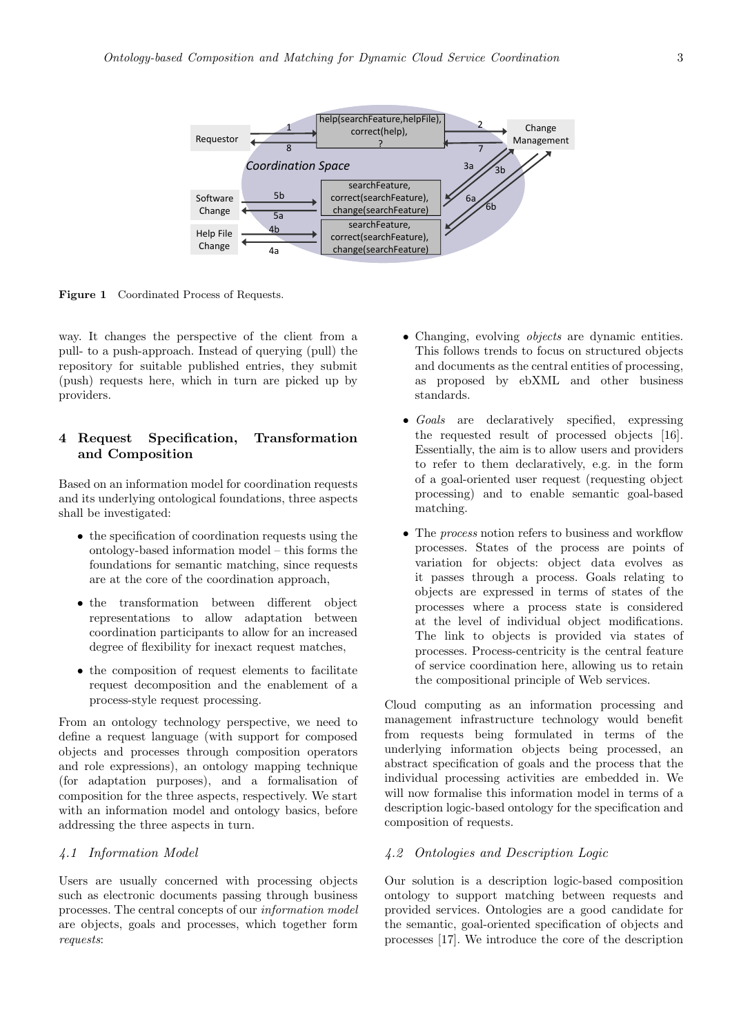

Figure 1 Coordinated Process of Requests.

way. It changes the perspective of the client from a pull- to a push-approach. Instead of querying (pull) the repository for suitable published entries, they submit (push) requests here, which in turn are picked up by providers.

# 4 Request Specification, Transformation and Composition

Based on an information model for coordination requests and its underlying ontological foundations, three aspects shall be investigated:

- the specification of coordination requests using the ontology-based information model – this forms the foundations for semantic matching, since requests are at the core of the coordination approach,
- the transformation between different object representations to allow adaptation between coordination participants to allow for an increased degree of flexibility for inexact request matches,
- the composition of request elements to facilitate request decomposition and the enablement of a process-style request processing.

From an ontology technology perspective, we need to define a request language (with support for composed objects and processes through composition operators and role expressions), an ontology mapping technique (for adaptation purposes), and a formalisation of composition for the three aspects, respectively. We start with an information model and ontology basics, before addressing the three aspects in turn.

#### 4.1 Information Model

Users are usually concerned with processing objects such as electronic documents passing through business processes. The central concepts of our information model are objects, goals and processes, which together form requests:

- Changing, evolving objects are dynamic entities. This follows trends to focus on structured objects and documents as the central entities of processing, as proposed by ebXML and other business standards.
- Goals are declaratively specified, expressing the requested result of processed objects [16]. Essentially, the aim is to allow users and providers to refer to them declaratively, e.g. in the form of a goal-oriented user request (requesting object processing) and to enable semantic goal-based matching.
- The *process* notion refers to business and workflow processes. States of the process are points of variation for objects: object data evolves as it passes through a process. Goals relating to objects are expressed in terms of states of the processes where a process state is considered at the level of individual object modifications. The link to objects is provided via states of processes. Process-centricity is the central feature of service coordination here, allowing us to retain the compositional principle of Web services.

Cloud computing as an information processing and management infrastructure technology would benefit from requests being formulated in terms of the underlying information objects being processed, an abstract specification of goals and the process that the individual processing activities are embedded in. We will now formalise this information model in terms of a description logic-based ontology for the specification and composition of requests.

## 4.2 Ontologies and Description Logic

Our solution is a description logic-based composition ontology to support matching between requests and provided services. Ontologies are a good candidate for the semantic, goal-oriented specification of objects and processes [17]. We introduce the core of the description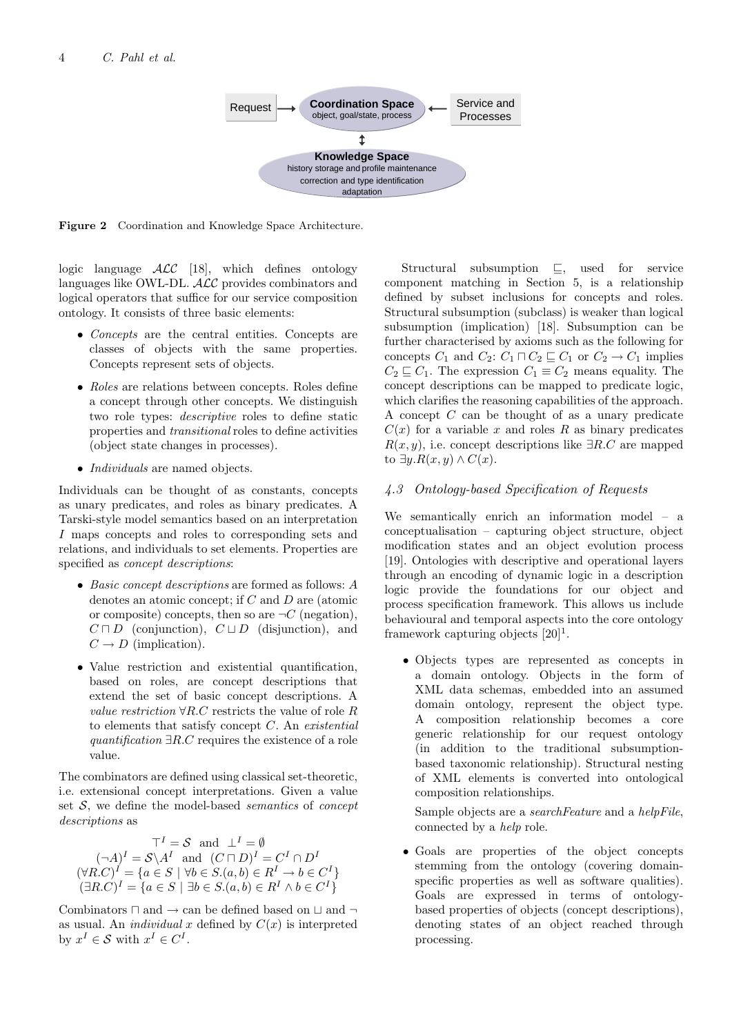

Figure 2 Coordination and Knowledge Space Architecture.

logic language  $\mathcal{ALC}$  [18], which defines ontology languages like OWL-DL. ALC provides combinators and logical operators that suffice for our service composition ontology. It consists of three basic elements:

- Concepts are the central entities. Concepts are classes of objects with the same properties. Concepts represent sets of objects.
- Roles are relations between concepts. Roles define a concept through other concepts. We distinguish two role types: descriptive roles to define static properties and transitional roles to define activities (object state changes in processes).
- *Individuals* are named objects.

Individuals can be thought of as constants, concepts as unary predicates, and roles as binary predicates. A Tarski-style model semantics based on an interpretation I maps concepts and roles to corresponding sets and relations, and individuals to set elements. Properties are specified as concept descriptions:

- Basic concept descriptions are formed as follows: A denotes an atomic concept; if C and D are (atomic or composite) concepts, then so are  $\neg C$  (negation),  $C \sqcap D$  (conjunction),  $C \sqcup D$  (disjunction), and  $C \rightarrow D$  (implication).
- Value restriction and existential quantification, based on roles, are concept descriptions that extend the set of basic concept descriptions. A value restriction  $\forall R.C$  restricts the value of role R to elements that satisfy concept  $C$ . An existential quantification  $\exists R.C$  requires the existence of a role value.

The combinators are defined using classical set-theoretic, i.e. extensional concept interpretations. Given a value set  $S$ , we define the model-based semantics of concept descriptions as

$$
\top^I = \mathcal{S} \text{ and } \bot^I = \emptyset
$$
  
\n
$$
(\neg A)^I = \mathcal{S} \setminus A^I \text{ and } (C \sqcap D)^I = C^I \cap D^I
$$
  
\n
$$
(\forall R.C)^I = \{a \in S \mid \forall b \in S.(a, b) \in R^I \to b \in C^I\}
$$
  
\n
$$
(\exists R.C)^I = \{a \in S \mid \exists b \in S.(a, b) \in R^I \land b \in C^I\}
$$

Combinators  $\sqcap$  and  $\rightarrow$  can be defined based on  $\sqcup$  and  $\neg$ as usual. An *individual* x defined by  $C(x)$  is interpreted by  $x^I \in \mathcal{S}$  with  $x^I \in C^I$ .

Structural subsumption  $\sqsubseteq$ , used for service component matching in Section 5, is a relationship defined by subset inclusions for concepts and roles. Structural subsumption (subclass) is weaker than logical subsumption (implication) [18]. Subsumption can be further characterised by axioms such as the following for concepts  $C_1$  and  $C_2$ :  $C_1 \sqcap C_2 \sqsubseteq C_1$  or  $C_2 \rightarrow C_1$  implies  $C_2 \sqsubseteq C_1$ . The expression  $C_1 \equiv C_2$  means equality. The concept descriptions can be mapped to predicate logic, which clarifies the reasoning capabilities of the approach. A concept C can be thought of as a unary predicate  $C(x)$  for a variable x and roles R as binary predicates  $R(x, y)$ , i.e. concept descriptions like  $\exists R.C$  are mapped to  $\exists y.R(x,y) \wedge C(x)$ .

## 4.3 Ontology-based Specification of Requests

We semantically enrich an information model – a conceptualisation – capturing object structure, object modification states and an object evolution process [19]. Ontologies with descriptive and operational layers through an encoding of dynamic logic in a description logic provide the foundations for our object and process specification framework. This allows us include behavioural and temporal aspects into the core ontology framework capturing objects  $[20]$ <sup>1</sup>.

• Objects types are represented as concepts in a domain ontology. Objects in the form of XML data schemas, embedded into an assumed domain ontology, represent the object type. A composition relationship becomes a core generic relationship for our request ontology (in addition to the traditional subsumptionbased taxonomic relationship). Structural nesting of XML elements is converted into ontological composition relationships.

Sample objects are a searchFeature and a helpFile, connected by a help role.

• Goals are properties of the object concepts stemming from the ontology (covering domainspecific properties as well as software qualities). Goals are expressed in terms of ontologybased properties of objects (concept descriptions), denoting states of an object reached through processing.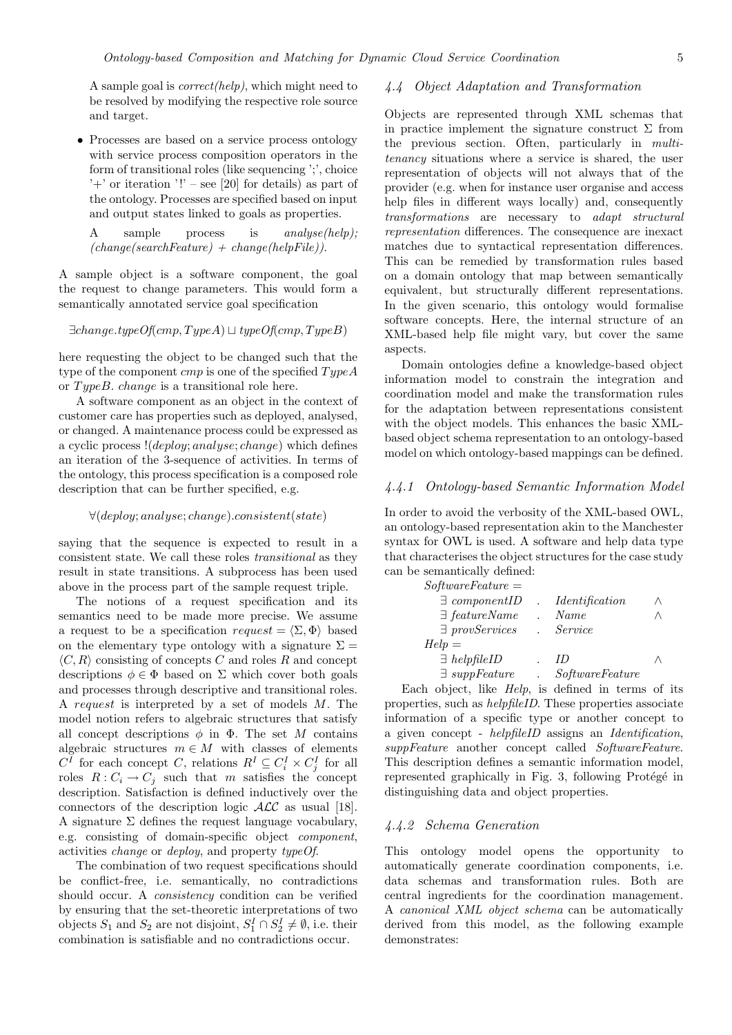A sample goal is correct(help), which might need to be resolved by modifying the respective role source and target.

• Processes are based on a service process ontology with service process composition operators in the form of transitional roles (like sequencing ';', choice '+' or iteration '!' – see [20] for details) as part of the ontology. Processes are specified based on input and output states linked to goals as properties.

A sample process is *analyse*(help);  $(charge(searchFeature) + change(helpFile)).$ 

A sample object is a software component, the goal the request to change parameters. This would form a semantically annotated service goal specification

## $\exists change.typeOf(cmp, TypeA) \sqcup typeOf(cmp, TypeB)$

here requesting the object to be changed such that the type of the component *cmp* is one of the specified  $TypeA$ or  $TypeB.$  change is a transitional role here.

A software component as an object in the context of customer care has properties such as deployed, analysed, or changed. A maintenance process could be expressed as a cyclic process !(deploy; analyse; change) which defines an iteration of the 3-sequence of activities. In terms of the ontology, this process specification is a composed role description that can be further specified, e.g.

#### $\forall (de ploy; analyse; change). consistent(state)$

saying that the sequence is expected to result in a consistent state. We call these roles transitional as they result in state transitions. A subprocess has been used above in the process part of the sample request triple.

The notions of a request specification and its semantics need to be made more precise. We assume a request to be a specification  $request = \langle \Sigma, \Phi \rangle$  based on the elementary type ontology with a signature  $\Sigma =$  $\langle C, R \rangle$  consisting of concepts C and roles R and concept descriptions  $\phi \in \Phi$  based on  $\Sigma$  which cover both goals and processes through descriptive and transitional roles. A request is interpreted by a set of models M. The model notion refers to algebraic structures that satisfy all concept descriptions  $\phi$  in  $\Phi$ . The set M contains algebraic structures  $m \in M$  with classes of elements  $C^I$  for each concept C, relations  $R^I \subseteq C_i^I \times C_j^I$  for all roles  $R: C_i \to C_j$  such that m satisfies the concept description. Satisfaction is defined inductively over the connectors of the description logic  $\text{ALC}$  as usual [18]. A signature  $\Sigma$  defines the request language vocabulary, e.g. consisting of domain-specific object component, activities change or deploy, and property typeOf.

The combination of two request specifications should be conflict-free, i.e. semantically, no contradictions should occur. A consistency condition can be verified by ensuring that the set-theoretic interpretations of two objects  $S_1$  and  $S_2$  are not disjoint,  $S_1^I \cap S_2^I \neq \emptyset$ , i.e. their combination is satisfiable and no contradictions occur.

### 4.4 Object Adaptation and Transformation

Objects are represented through XML schemas that in practice implement the signature construct  $\Sigma$  from the previous section. Often, particularly in multitenancy situations where a service is shared, the user representation of objects will not always that of the provider (e.g. when for instance user organise and access help files in different ways locally) and, consequently transformations are necessary to adapt structural representation differences. The consequence are inexact matches due to syntactical representation differences. This can be remedied by transformation rules based on a domain ontology that map between semantically equivalent, but structurally different representations. In the given scenario, this ontology would formalise software concepts. Here, the internal structure of an XML-based help file might vary, but cover the same aspects.

Domain ontologies define a knowledge-based object information model to constrain the integration and coordination model and make the transformation rules for the adaptation between representations consistent with the object models. This enhances the basic XMLbased object schema representation to an ontology-based model on which ontology-based mappings can be defined.

#### 4.4.1 Ontology-based Semantic Information Model

In order to avoid the verbosity of the XML-based OWL, an ontology-based representation akin to the Manchester syntax for OWL is used. A software and help data type that characterises the object structures for the case study can be semantically defined:

| $SoftwareFeature =$    |                                     |   |
|------------------------|-------------------------------------|---|
| $\exists$ componentID  | <i><u><b>Identification</b></u></i> | Λ |
| $\exists$ featureName  | Name                                |   |
| $\exists$ provServices | Service                             |   |
| $Help =$               |                                     |   |
| $\exists$ helpfileID   | $\overline{1}$                      |   |
| $\exists suppFeature$  | <i>SoftwareFeature</i>              |   |

Each object, like Help, is defined in terms of its properties, such as helpfileID. These properties associate information of a specific type or another concept to a given concept - helpfileID assigns an Identification, suppFeature another concept called SoftwareFeature. This description defines a semantic information model, represented graphically in Fig. 3, following Protégé in distinguishing data and object properties.

## 4.4.2 Schema Generation

This ontology model opens the opportunity to automatically generate coordination components, i.e. data schemas and transformation rules. Both are central ingredients for the coordination management. A canonical XML object schema can be automatically derived from this model, as the following example demonstrates: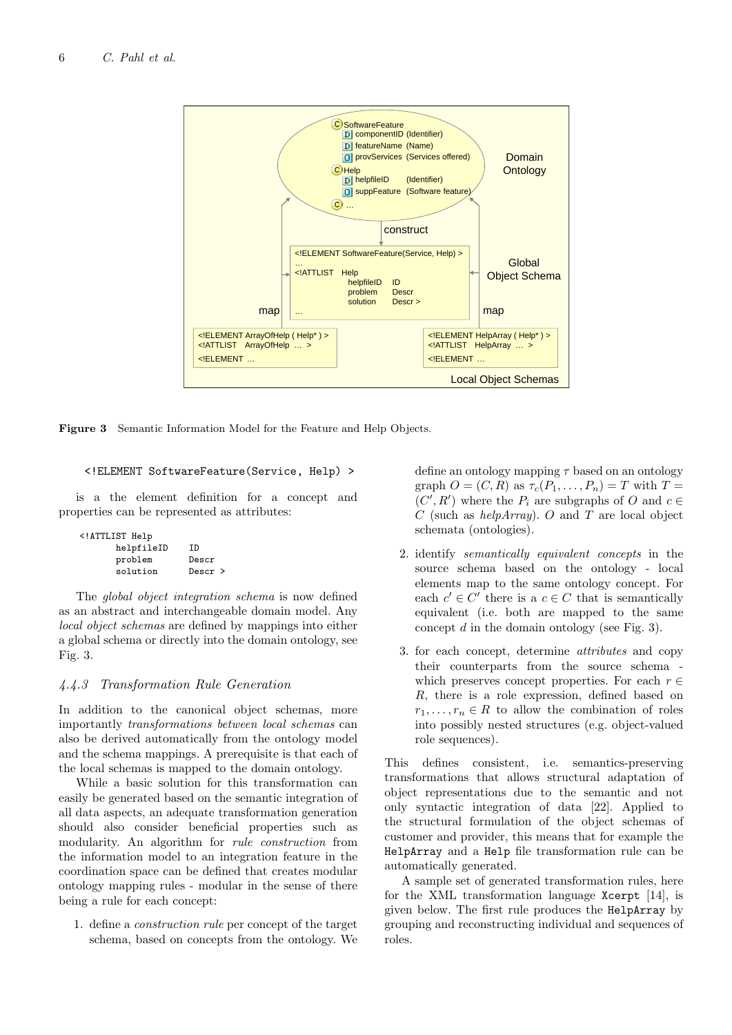

Figure 3 Semantic Information Model for the Feature and Help Objects.

#### <!ELEMENT SoftwareFeature(Service, Help) >

is a the element definition for a concept and properties can be represented as attributes:

| ATTLIST Help</th <th></th> |           |
|----------------------------|-----------|
| helpfileID                 | TD        |
| problem                    | Descr     |
| solution                   | $Descr$ > |

The global object integration schema is now defined as an abstract and interchangeable domain model. Any local object schemas are defined by mappings into either a global schema or directly into the domain ontology, see Fig. 3.

#### 4.4.3 Transformation Rule Generation

In addition to the canonical object schemas, more importantly transformations between local schemas can also be derived automatically from the ontology model and the schema mappings. A prerequisite is that each of the local schemas is mapped to the domain ontology.

While a basic solution for this transformation can easily be generated based on the semantic integration of all data aspects, an adequate transformation generation should also consider beneficial properties such as modularity. An algorithm for rule construction from the information model to an integration feature in the coordination space can be defined that creates modular ontology mapping rules - modular in the sense of there being a rule for each concept:

1. define a construction rule per concept of the target schema, based on concepts from the ontology. We define an ontology mapping  $\tau$  based on an ontology graph  $O = (C, R)$  as  $\tau_c(P_1, \ldots, P_n) = T$  with  $T =$  $(C', R')$  where the  $P_i$  are subgraphs of O and  $c \in$ C (such as  $helpArray$ ). O and T are local object schemata (ontologies).

- 2. identify semantically equivalent concepts in the source schema based on the ontology - local elements map to the same ontology concept. For each  $c' \in C'$  there is a  $c \in C$  that is semantically equivalent (i.e. both are mapped to the same concept d in the domain ontology (see Fig. 3).
- 3. for each concept, determine attributes and copy their counterparts from the source schema which preserves concept properties. For each  $r \in$ R, there is a role expression, defined based on  $r_1, \ldots, r_n \in R$  to allow the combination of roles into possibly nested structures (e.g. object-valued role sequences).

This defines consistent, i.e. semantics-preserving transformations that allows structural adaptation of object representations due to the semantic and not only syntactic integration of data [22]. Applied to the structural formulation of the object schemas of customer and provider, this means that for example the HelpArray and a Help file transformation rule can be automatically generated.

A sample set of generated transformation rules, here for the XML transformation language Xcerpt [14], is given below. The first rule produces the HelpArray by grouping and reconstructing individual and sequences of roles.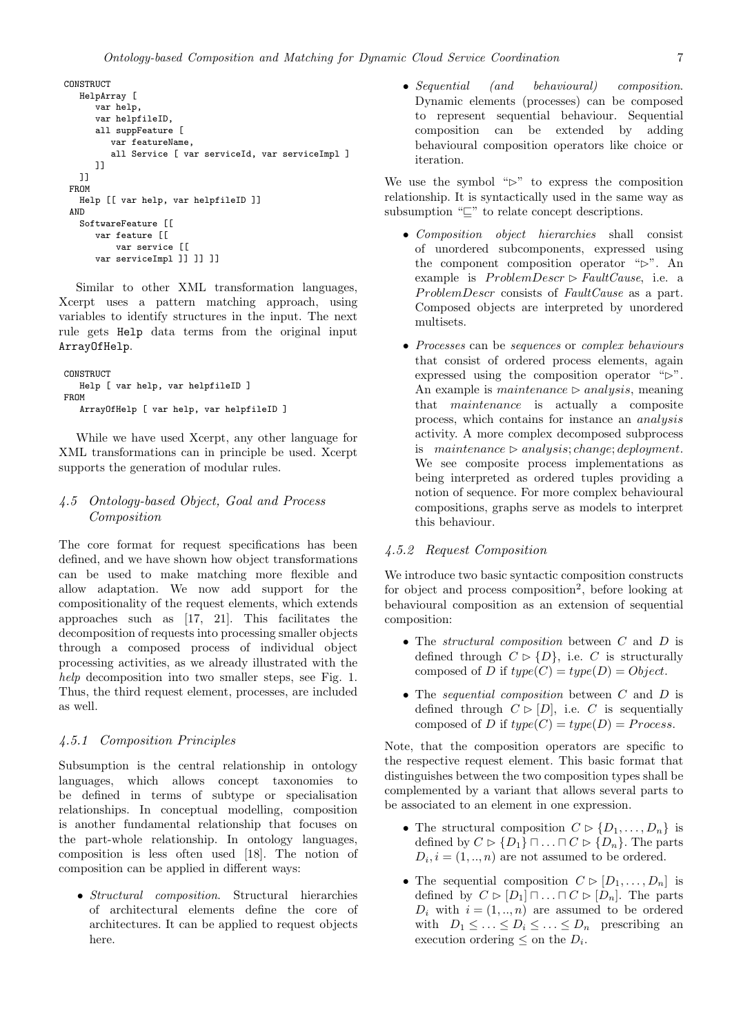```
CONSTRUCT
  HelpArray [
     var help,
      var helpfileID,
      all suppFeature [
         var featureName,
         all Service [ var serviceId, var serviceImpl ]
      ]]
  ]]
FROM
  Help [[ var help, var helpfileID ]]
AND
  SoftwareFeature [[
      var feature [[
          var service [[
      var serviceImpl ]] ]] ]]
```
Similar to other XML transformation languages, Xcerpt uses a pattern matching approach, using variables to identify structures in the input. The next rule gets Help data terms from the original input ArrayOfHelp.

```
CONSTRUCT
  Help [ var help, var helpfileID ]
FROM
  ArrayOfHelp [ var help, var helpfileID ]
```
While we have used Xcerpt, any other language for XML transformations can in principle be used. Xcerpt supports the generation of modular rules.

# 4.5 Ontology-based Object, Goal and Process Composition

The core format for request specifications has been defined, and we have shown how object transformations can be used to make matching more flexible and allow adaptation. We now add support for the compositionality of the request elements, which extends approaches such as [17, 21]. This facilitates the decomposition of requests into processing smaller objects through a composed process of individual object processing activities, as we already illustrated with the help decomposition into two smaller steps, see Fig. 1. Thus, the third request element, processes, are included as well.

### 4.5.1 Composition Principles

Subsumption is the central relationship in ontology languages, which allows concept taxonomies to be defined in terms of subtype or specialisation relationships. In conceptual modelling, composition is another fundamental relationship that focuses on the part-whole relationship. In ontology languages, composition is less often used [18]. The notion of composition can be applied in different ways:

• Structural composition. Structural hierarchies of architectural elements define the core of architectures. It can be applied to request objects here.

• Sequential (and behavioural) composition. Dynamic elements (processes) can be composed to represent sequential behaviour. Sequential composition can be extended by adding behavioural composition operators like choice or iteration.

We use the symbol " $\triangleright$ " to express the composition relationship. It is syntactically used in the same way as subsumption " $\sqsubseteq$ " to relate concept descriptions.

- Composition object hierarchies shall consist of unordered subcomponents, expressed using the component composition operator " $\triangleright$ ". An example is  $ProblemDescr \triangleright \textit{FaultCause},$  i.e. a ProblemDescr consists of FaultCause as a part. Composed objects are interpreted by unordered multisets.
- Processes can be sequences or complex behaviours that consist of ordered process elements, again expressed using the composition operator " $\triangleright$ ". An example is *maintenance*  $\triangleright$  *analysis*, meaning that maintenance is actually a composite process, which contains for instance an analysis activity. A more complex decomposed subprocess is maintenance  $\triangleright$  analysis; change; deployment. We see composite process implementations as being interpreted as ordered tuples providing a notion of sequence. For more complex behavioural compositions, graphs serve as models to interpret this behaviour.

#### 4.5.2 Request Composition

We introduce two basic syntactic composition constructs for object and process composition<sup>2</sup>, before looking at behavioural composition as an extension of sequential composition:

- The *structural composition* between C and D is defined through  $C \triangleright \{D\}$ , i.e. C is structurally composed of D if  $type(C) = type(D) = Object$ .
- The *sequential composition* between C and D is defined through  $C \triangleright [D]$ , i.e. C is sequentially composed of D if  $type(C) = type(D) = Process$ .

Note, that the composition operators are specific to the respective request element. This basic format that distinguishes between the two composition types shall be complemented by a variant that allows several parts to be associated to an element in one expression.

- The structural composition  $C \triangleright \{D_1, \ldots, D_n\}$  is defined by  $C > {D_1} \cap ... \cap C > {D_n}$ . The parts  $D_i, i = (1, ..., n)$  are not assumed to be ordered.
- The sequential composition  $C \triangleright [D_1, \ldots, D_n]$  is defined by  $C \triangleright [D_1] \sqcap \ldots \sqcap C \triangleright [D_n]$ . The parts  $D_i$  with  $i = (1, ..., n)$  are assumed to be ordered with  $D_1 \leq \ldots \leq D_i \leq \ldots \leq D_n$  prescribing an execution ordering  $\leq$  on the  $D_i$ .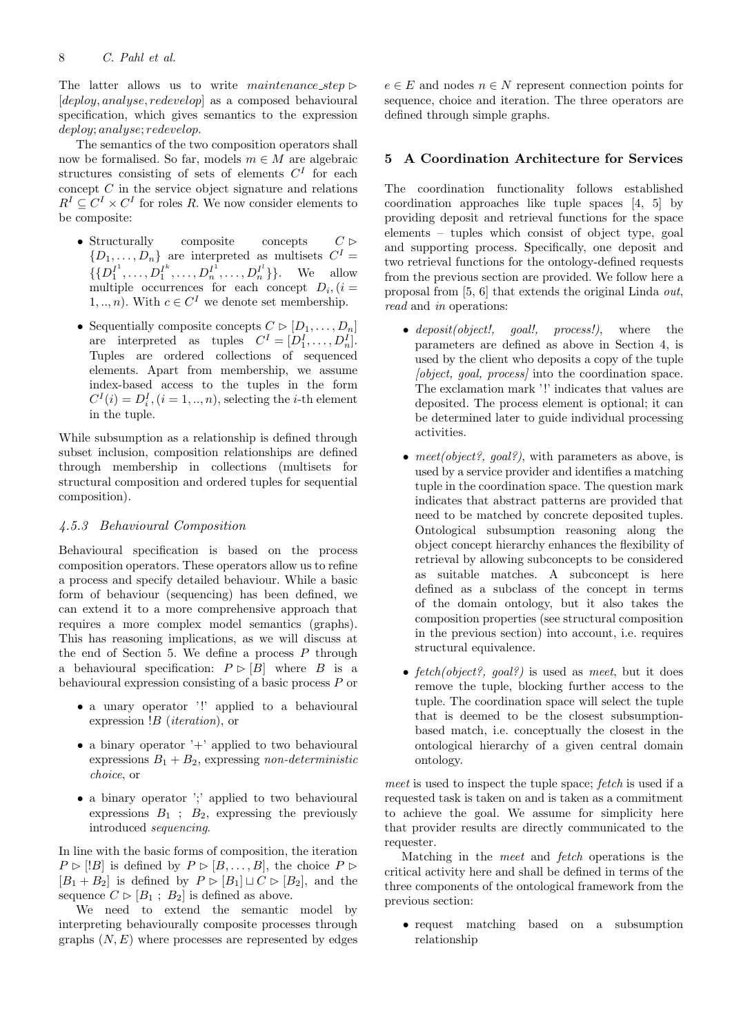The latter allows us to write maintenance-step  $\triangleright$ [deploy, analyse, redevelop] as a composed behavioural specification, which gives semantics to the expression deploy; analyse; redevelop.

The semantics of the two composition operators shall now be formalised. So far, models  $m \in M$  are algebraic structures consisting of sets of elements  $C<sup>I</sup>$  for each concept  $C$  in the service object signature and relations  $R^I \subseteq C^I \times C^I$  for roles R. We now consider elements to be composite:

- Structurally composite concepts  $C \triangleright$  $\{D_1, \ldots, D_n\}$  are interpreted as multisets  $C^I$  =  $\{ {D_1^{I}}^1, \ldots, D_1^{I^k}, \ldots, D_n^{I^1}, \ldots, D_n^{I^l} \} \}$ . We allow multiple occurrences for each concept  $D_i$ ,  $(i =$ 1, .., *n*). With  $c \in C^I$  we denote set membership.
- Sequentially composite concepts  $C \triangleright [D_1, \ldots, D_n]$ are interpreted as tuples  $C^I = [D_1^I, \ldots, D_n^I].$ Tuples are ordered collections of sequenced elements. Apart from membership, we assume index-based access to the tuples in the form  $C^{I}(i) = D_i^{I}, (i = 1, ..., n)$ , selecting the *i*-th element in the tuple.

While subsumption as a relationship is defined through subset inclusion, composition relationships are defined through membership in collections (multisets for structural composition and ordered tuples for sequential composition).

#### 4.5.3 Behavioural Composition

Behavioural specification is based on the process composition operators. These operators allow us to refine a process and specify detailed behaviour. While a basic form of behaviour (sequencing) has been defined, we can extend it to a more comprehensive approach that requires a more complex model semantics (graphs). This has reasoning implications, as we will discuss at the end of Section 5. We define a process  $P$  through a behavioural specification:  $P \triangleright [B]$  where B is a behavioural expression consisting of a basic process P or

- a unary operator '!' applied to a behavioural expression !B (iteration), or
- a binary operator '+' applied to two behavioural expressions  $B_1 + B_2$ , expressing non-deterministic choice, or
- a binary operator ';' applied to two behavioural expressions  $B_1$ ;  $B_2$ , expressing the previously introduced sequencing.

In line with the basic forms of composition, the iteration  $P \triangleright [B]$  is defined by  $P \triangleright [B, \ldots, B]$ , the choice  $P \triangleright$  $[B_1 + B_2]$  is defined by  $P \triangleright [B_1] \sqcup C \triangleright [B_2]$ , and the sequence  $C \triangleright [B_1 ; B_2]$  is defined as above.

We need to extend the semantic model by interpreting behaviourally composite processes through graphs  $(N, E)$  where processes are represented by edges

 $e \in E$  and nodes  $n \in N$  represent connection points for sequence, choice and iteration. The three operators are defined through simple graphs.

# 5 A Coordination Architecture for Services

The coordination functionality follows established coordination approaches like tuple spaces [4, 5] by providing deposit and retrieval functions for the space elements – tuples which consist of object type, goal and supporting process. Specifically, one deposit and two retrieval functions for the ontology-defined requests from the previous section are provided. We follow here a proposal from [5, 6] that extends the original Linda out, read and in operations:

- deposit(object!, goal!, process!), where the parameters are defined as above in Section 4, is used by the client who deposits a copy of the tuple [object, goal, process] into the coordination space. The exclamation mark '!' indicates that values are deposited. The process element is optional; it can be determined later to guide individual processing activities.
- meet(object?, goal?), with parameters as above, is used by a service provider and identifies a matching tuple in the coordination space. The question mark indicates that abstract patterns are provided that need to be matched by concrete deposited tuples. Ontological subsumption reasoning along the object concept hierarchy enhances the flexibility of retrieval by allowing subconcepts to be considered as suitable matches. A subconcept is here defined as a subclass of the concept in terms of the domain ontology, but it also takes the composition properties (see structural composition in the previous section) into account, i.e. requires structural equivalence.
- fetch(object?, goal?) is used as meet, but it does remove the tuple, blocking further access to the tuple. The coordination space will select the tuple that is deemed to be the closest subsumptionbased match, i.e. conceptually the closest in the ontological hierarchy of a given central domain ontology.

meet is used to inspect the tuple space; fetch is used if a requested task is taken on and is taken as a commitment to achieve the goal. We assume for simplicity here that provider results are directly communicated to the requester.

Matching in the meet and fetch operations is the critical activity here and shall be defined in terms of the three components of the ontological framework from the previous section:

• request matching based on a subsumption relationship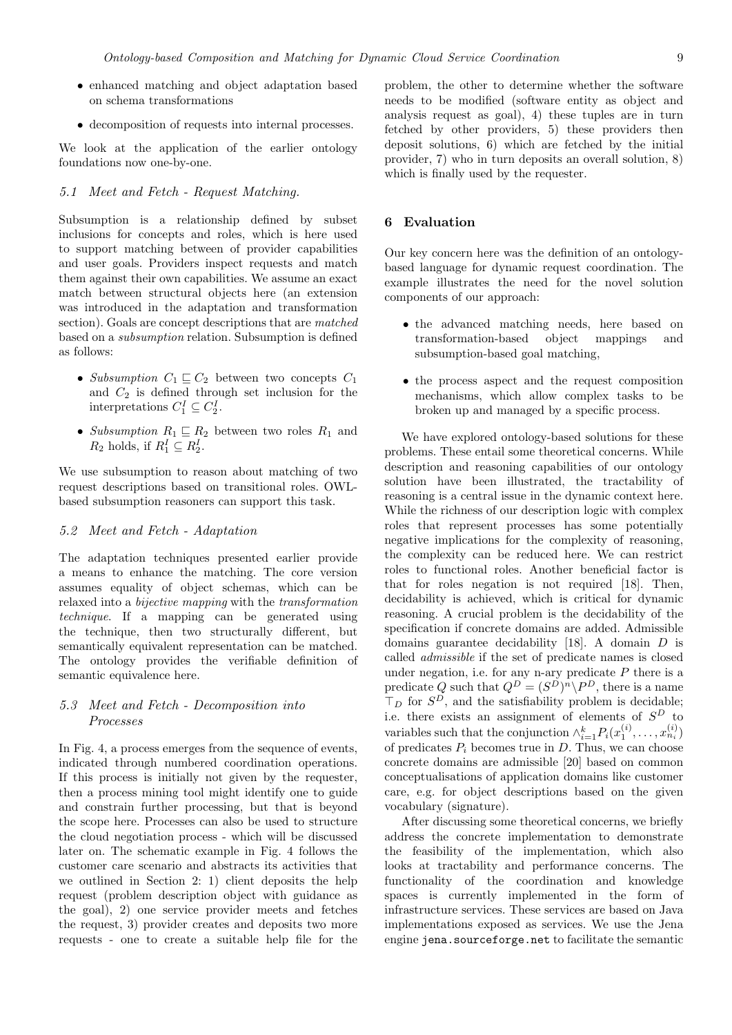- enhanced matching and object adaptation based on schema transformations
- decomposition of requests into internal processes.

We look at the application of the earlier ontology foundations now one-by-one.

#### 5.1 Meet and Fetch - Request Matching.

Subsumption is a relationship defined by subset inclusions for concepts and roles, which is here used to support matching between of provider capabilities and user goals. Providers inspect requests and match them against their own capabilities. We assume an exact match between structural objects here (an extension was introduced in the adaptation and transformation section). Goals are concept descriptions that are matched based on a subsumption relation. Subsumption is defined as follows:

- Subsumption  $C_1 \sqsubseteq C_2$  between two concepts  $C_1$ and  $C_2$  is defined through set inclusion for the interpretations  $C_1^I \subseteq C_2^I$ .
- Subsumption  $R_1 \subseteq R_2$  between two roles  $R_1$  and  $R_2$  holds, if  $R_1^I \subseteq R_2^I$ .

We use subsumption to reason about matching of two request descriptions based on transitional roles. OWLbased subsumption reasoners can support this task.

## 5.2 Meet and Fetch - Adaptation

The adaptation techniques presented earlier provide a means to enhance the matching. The core version assumes equality of object schemas, which can be relaxed into a bijective mapping with the transformation technique. If a mapping can be generated using the technique, then two structurally different, but semantically equivalent representation can be matched. The ontology provides the verifiable definition of semantic equivalence here.

# 5.3 Meet and Fetch - Decomposition into Processes

In Fig. 4, a process emerges from the sequence of events, indicated through numbered coordination operations. If this process is initially not given by the requester, then a process mining tool might identify one to guide and constrain further processing, but that is beyond the scope here. Processes can also be used to structure the cloud negotiation process - which will be discussed later on. The schematic example in Fig. 4 follows the customer care scenario and abstracts its activities that we outlined in Section 2: 1) client deposits the help request (problem description object with guidance as the goal), 2) one service provider meets and fetches the request, 3) provider creates and deposits two more requests - one to create a suitable help file for the problem, the other to determine whether the software needs to be modified (software entity as object and analysis request as goal), 4) these tuples are in turn fetched by other providers, 5) these providers then deposit solutions, 6) which are fetched by the initial provider, 7) who in turn deposits an overall solution, 8) which is finally used by the requester.

## 6 Evaluation

Our key concern here was the definition of an ontologybased language for dynamic request coordination. The example illustrates the need for the novel solution components of our approach:

- the advanced matching needs, here based on transformation-based object mappings and subsumption-based goal matching,
- the process aspect and the request composition mechanisms, which allow complex tasks to be broken up and managed by a specific process.

We have explored ontology-based solutions for these problems. These entail some theoretical concerns. While description and reasoning capabilities of our ontology solution have been illustrated, the tractability of reasoning is a central issue in the dynamic context here. While the richness of our description logic with complex roles that represent processes has some potentially negative implications for the complexity of reasoning, the complexity can be reduced here. We can restrict roles to functional roles. Another beneficial factor is that for roles negation is not required [18]. Then, decidability is achieved, which is critical for dynamic reasoning. A crucial problem is the decidability of the specification if concrete domains are added. Admissible domains guarantee decidability [18]. A domain D is called admissible if the set of predicate names is closed under negation, i.e. for any n-ary predicate  $P$  there is a predicate Q such that  $Q^D = (S^D)^n \backslash P^D$ , there is a name  $T_D$  for  $S^D$ , and the satisfiability problem is decidable; i.e. there exists an assignment of elements of  $S^D$  to variables such that the conjunction  $\wedge_{i=1}^k P_i(x_1^{(i)}, \ldots, x_{n_i}^{(i)})$ of predicates  $P_i$  becomes true in  $D$ . Thus, we can choose concrete domains are admissible [20] based on common conceptualisations of application domains like customer care, e.g. for object descriptions based on the given vocabulary (signature).

After discussing some theoretical concerns, we briefly address the concrete implementation to demonstrate the feasibility of the implementation, which also looks at tractability and performance concerns. The functionality of the coordination and knowledge spaces is currently implemented in the form of infrastructure services. These services are based on Java implementations exposed as services. We use the Jena engine jena.sourceforge.net to facilitate the semantic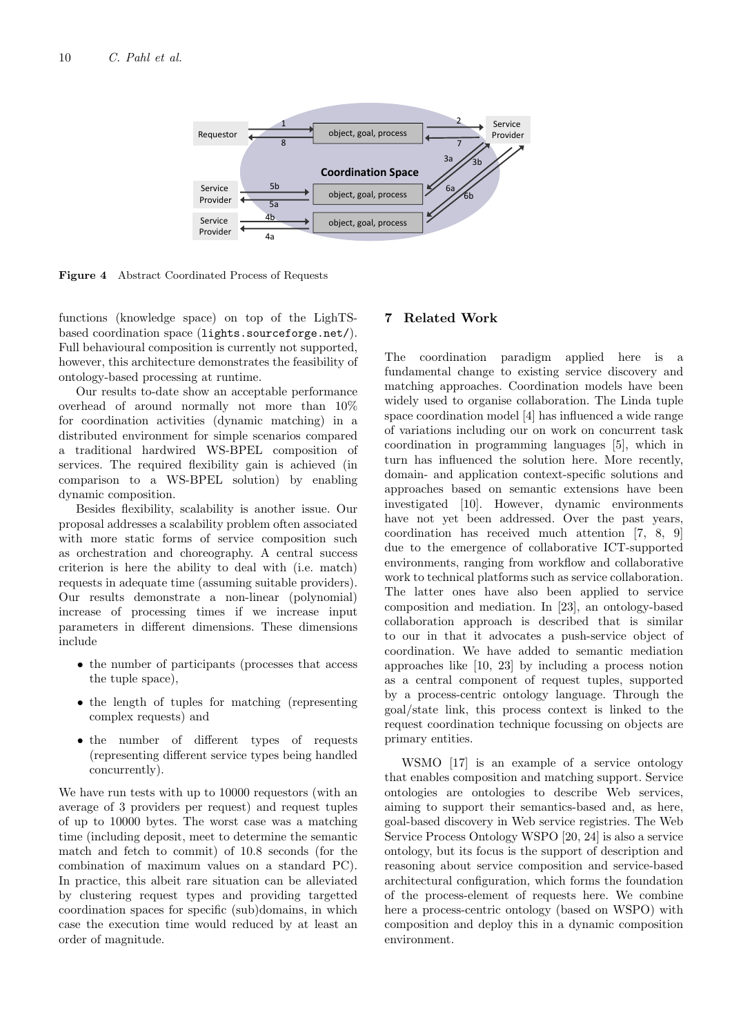

Figure 4 Abstract Coordinated Process of Requests

functions (knowledge space) on top of the LighTSbased coordination space (lights.sourceforge.net/). Full behavioural composition is currently not supported, however, this architecture demonstrates the feasibility of ontology-based processing at runtime.

Our results to-date show an acceptable performance overhead of around normally not more than 10% for coordination activities (dynamic matching) in a distributed environment for simple scenarios compared a traditional hardwired WS-BPEL composition of services. The required flexibility gain is achieved (in comparison to a WS-BPEL solution) by enabling dynamic composition.

Besides flexibility, scalability is another issue. Our proposal addresses a scalability problem often associated with more static forms of service composition such as orchestration and choreography. A central success criterion is here the ability to deal with (i.e. match) requests in adequate time (assuming suitable providers). Our results demonstrate a non-linear (polynomial) increase of processing times if we increase input parameters in different dimensions. These dimensions include

- the number of participants (processes that access the tuple space),
- the length of tuples for matching (representing) complex requests) and
- the number of different types of requests (representing different service types being handled concurrently).

We have run tests with up to 10000 requestors (with an average of 3 providers per request) and request tuples of up to 10000 bytes. The worst case was a matching time (including deposit, meet to determine the semantic match and fetch to commit) of 10.8 seconds (for the combination of maximum values on a standard PC). In practice, this albeit rare situation can be alleviated by clustering request types and providing targetted coordination spaces for specific (sub)domains, in which case the execution time would reduced by at least an order of magnitude.

## 7 Related Work

The coordination paradigm applied here is a fundamental change to existing service discovery and matching approaches. Coordination models have been widely used to organise collaboration. The Linda tuple space coordination model [4] has influenced a wide range of variations including our on work on concurrent task coordination in programming languages [5], which in turn has influenced the solution here. More recently, domain- and application context-specific solutions and approaches based on semantic extensions have been investigated [10]. However, dynamic environments have not yet been addressed. Over the past years, coordination has received much attention [7, 8, 9] due to the emergence of collaborative ICT-supported environments, ranging from workflow and collaborative work to technical platforms such as service collaboration. The latter ones have also been applied to service composition and mediation. In [23], an ontology-based collaboration approach is described that is similar to our in that it advocates a push-service object of coordination. We have added to semantic mediation approaches like [10, 23] by including a process notion as a central component of request tuples, supported by a process-centric ontology language. Through the goal/state link, this process context is linked to the request coordination technique focussing on objects are primary entities.

WSMO [17] is an example of a service ontology that enables composition and matching support. Service ontologies are ontologies to describe Web services, aiming to support their semantics-based and, as here, goal-based discovery in Web service registries. The Web Service Process Ontology WSPO [20, 24] is also a service ontology, but its focus is the support of description and reasoning about service composition and service-based architectural configuration, which forms the foundation of the process-element of requests here. We combine here a process-centric ontology (based on WSPO) with composition and deploy this in a dynamic composition environment.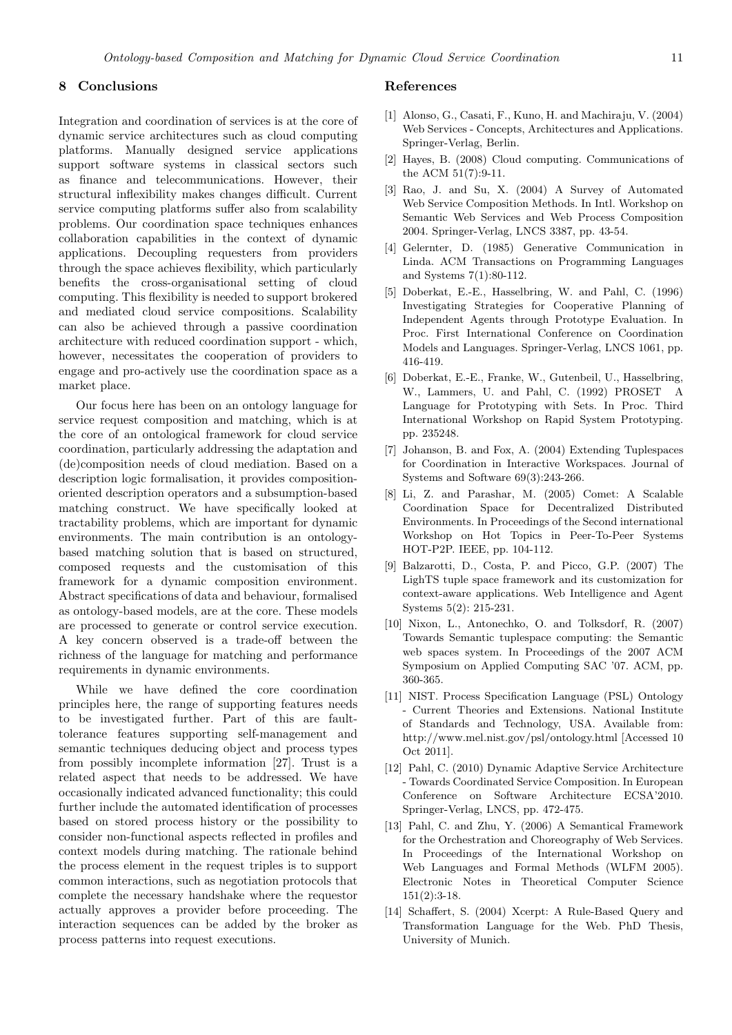# 8 Conclusions

Integration and coordination of services is at the core of dynamic service architectures such as cloud computing platforms. Manually designed service applications support software systems in classical sectors such as finance and telecommunications. However, their structural inflexibility makes changes difficult. Current service computing platforms suffer also from scalability problems. Our coordination space techniques enhances collaboration capabilities in the context of dynamic applications. Decoupling requesters from providers through the space achieves flexibility, which particularly benefits the cross-organisational setting of cloud computing. This flexibility is needed to support brokered and mediated cloud service compositions. Scalability can also be achieved through a passive coordination architecture with reduced coordination support - which, however, necessitates the cooperation of providers to engage and pro-actively use the coordination space as a market place.

Our focus here has been on an ontology language for service request composition and matching, which is at the core of an ontological framework for cloud service coordination, particularly addressing the adaptation and (de)composition needs of cloud mediation. Based on a description logic formalisation, it provides compositionoriented description operators and a subsumption-based matching construct. We have specifically looked at tractability problems, which are important for dynamic environments. The main contribution is an ontologybased matching solution that is based on structured, composed requests and the customisation of this framework for a dynamic composition environment. Abstract specifications of data and behaviour, formalised as ontology-based models, are at the core. These models are processed to generate or control service execution. A key concern observed is a trade-off between the richness of the language for matching and performance requirements in dynamic environments.

While we have defined the core coordination principles here, the range of supporting features needs to be investigated further. Part of this are faulttolerance features supporting self-management and semantic techniques deducing object and process types from possibly incomplete information [27]. Trust is a related aspect that needs to be addressed. We have occasionally indicated advanced functionality; this could further include the automated identification of processes based on stored process history or the possibility to consider non-functional aspects reflected in profiles and context models during matching. The rationale behind the process element in the request triples is to support common interactions, such as negotiation protocols that complete the necessary handshake where the requestor actually approves a provider before proceeding. The interaction sequences can be added by the broker as process patterns into request executions.

## References

- [1] Alonso, G., Casati, F., Kuno, H. and Machiraju, V. (2004) Web Services - Concepts, Architectures and Applications. Springer-Verlag, Berlin.
- [2] Hayes, B. (2008) Cloud computing. Communications of the ACM 51(7):9-11.
- [3] Rao, J. and Su, X. (2004) A Survey of Automated Web Service Composition Methods. In Intl. Workshop on Semantic Web Services and Web Process Composition 2004. Springer-Verlag, LNCS 3387, pp. 43-54.
- [4] Gelernter, D. (1985) Generative Communication in Linda. ACM Transactions on Programming Languages and Systems 7(1):80-112.
- [5] Doberkat, E.-E., Hasselbring, W. and Pahl, C. (1996) Investigating Strategies for Cooperative Planning of Independent Agents through Prototype Evaluation. In Proc. First International Conference on Coordination Models and Languages. Springer-Verlag, LNCS 1061, pp. 416-419.
- [6] Doberkat, E.-E., Franke, W., Gutenbeil, U., Hasselbring, W., Lammers, U. and Pahl, C. (1992) PROSET A Language for Prototyping with Sets. In Proc. Third International Workshop on Rapid System Prototyping. pp. 235248.
- [7] Johanson, B. and Fox, A. (2004) Extending Tuplespaces for Coordination in Interactive Workspaces. Journal of Systems and Software 69(3):243-266.
- [8] Li, Z. and Parashar, M. (2005) Comet: A Scalable Coordination Space for Decentralized Distributed Environments. In Proceedings of the Second international Workshop on Hot Topics in Peer-To-Peer Systems HOT-P2P. IEEE, pp. 104-112.
- [9] Balzarotti, D., Costa, P. and Picco, G.P. (2007) The LighTS tuple space framework and its customization for context-aware applications. Web Intelligence and Agent Systems 5(2): 215-231.
- [10] Nixon, L., Antonechko, O. and Tolksdorf, R. (2007) Towards Semantic tuplespace computing: the Semantic web spaces system. In Proceedings of the 2007 ACM Symposium on Applied Computing SAC '07. ACM, pp. 360-365.
- [11] NIST. Process Specification Language (PSL) Ontology - Current Theories and Extensions. National Institute of Standards and Technology, USA. Available from: http://www.mel.nist.gov/psl/ontology.html [Accessed 10 Oct 2011].
- [12] Pahl, C. (2010) Dynamic Adaptive Service Architecture - Towards Coordinated Service Composition. In European Conference on Software Architecture ECSA'2010. Springer-Verlag, LNCS, pp. 472-475.
- [13] Pahl, C. and Zhu, Y. (2006) A Semantical Framework for the Orchestration and Choreography of Web Services. In Proceedings of the International Workshop on Web Languages and Formal Methods (WLFM 2005). Electronic Notes in Theoretical Computer Science  $151(2):3-18.$
- [14] Schaffert, S. (2004) Xcerpt: A Rule-Based Query and Transformation Language for the Web. PhD Thesis, University of Munich.